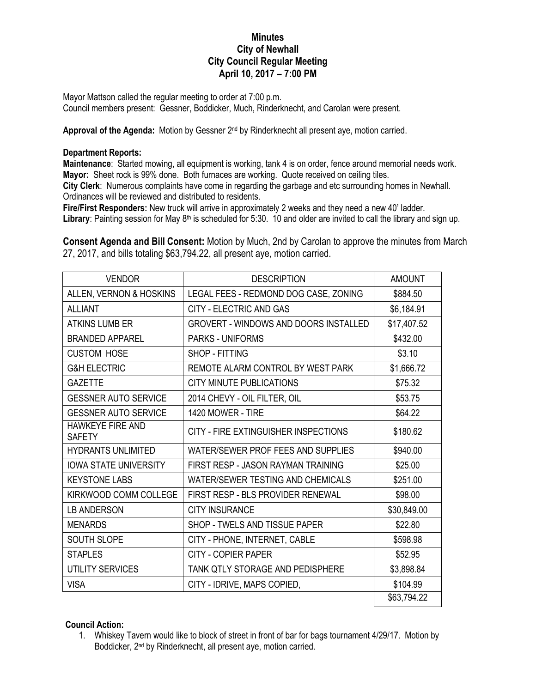## **Minutes City of Newhall City Council Regular Meeting April 10, 2017 – 7:00 PM**

Mayor Mattson called the regular meeting to order at 7:00 p.m. Council members present: Gessner, Boddicker, Much, Rinderknecht, and Carolan were present.

Approval of the Agenda: Motion by Gessner 2<sup>nd</sup> by Rinderknecht all present aye, motion carried.

## **Department Reports:**

**Maintenance**: Started mowing, all equipment is working, tank 4 is on order, fence around memorial needs work. **Mayor:** Sheet rock is 99% done. Both furnaces are working. Quote received on ceiling tiles.

**City Clerk**: Numerous complaints have come in regarding the garbage and etc surrounding homes in Newhall. Ordinances will be reviewed and distributed to residents.

**Fire/First Responders:** New truck will arrive in approximately 2 weeks and they need a new 40' ladder. **Library**: Painting session for May  $8<sup>th</sup>$  is scheduled for 5:30. 10 and older are invited to call the library and sign up.

**Consent Agenda and Bill Consent:** Motion by Much, 2nd by Carolan to approve the minutes from March 27, 2017, and bills totaling \$63,794.22, all present aye, motion carried.

| <b>VENDOR</b>                            | <b>DESCRIPTION</b>                           | <b>AMOUNT</b> |
|------------------------------------------|----------------------------------------------|---------------|
| ALLEN, VERNON & HOSKINS                  | LEGAL FEES - REDMOND DOG CASE, ZONING        | \$884.50      |
| <b>ALLIANT</b>                           | <b>CITY - ELECTRIC AND GAS</b>               | \$6,184.91    |
| <b>ATKINS LUMB ER</b>                    | <b>GROVERT - WINDOWS AND DOORS INSTALLED</b> | \$17,407.52   |
| <b>BRANDED APPAREL</b>                   | <b>PARKS - UNIFORMS</b>                      | \$432.00      |
| <b>CUSTOM HOSE</b>                       | SHOP - FITTING                               | \$3.10        |
| <b>G&amp;H ELECTRIC</b>                  | REMOTE ALARM CONTROL BY WEST PARK            | \$1,666.72    |
| <b>GAZETTE</b>                           | CITY MINUTE PUBLICATIONS                     | \$75.32       |
| <b>GESSNER AUTO SERVICE</b>              | 2014 CHEVY - OIL FILTER, OIL                 | \$53.75       |
| <b>GESSNER AUTO SERVICE</b>              | 1420 MOWER - TIRE                            | \$64.22       |
| <b>HAWKEYE FIRE AND</b><br><b>SAFETY</b> | CITY - FIRE EXTINGUISHER INSPECTIONS         | \$180.62      |
| <b>HYDRANTS UNLIMITED</b>                | WATER/SEWER PROF FEES AND SUPPLIES           | \$940.00      |
| <b>IOWA STATE UNIVERSITY</b>             | FIRST RESP - JASON RAYMAN TRAINING           | \$25.00       |
| <b>KEYSTONE LABS</b>                     | WATER/SEWER TESTING AND CHEMICALS            | \$251.00      |
| KIRKWOOD COMM COLLEGE                    | FIRST RESP - BLS PROVIDER RENEWAL            | \$98.00       |
| <b>LB ANDERSON</b>                       | <b>CITY INSURANCE</b>                        | \$30,849.00   |
| <b>MENARDS</b>                           | SHOP - TWELS AND TISSUE PAPER                | \$22.80       |
| <b>SOUTH SLOPE</b>                       | CITY - PHONE, INTERNET, CABLE                | \$598.98      |
| <b>STAPLES</b>                           | <b>CITY - COPIER PAPER</b>                   | \$52.95       |
| <b>UTILITY SERVICES</b>                  | TANK QTLY STORAGE AND PEDISPHERE             | \$3,898.84    |
| <b>VISA</b>                              | CITY - IDRIVE, MAPS COPIED,                  | \$104.99      |
|                                          |                                              | \$63,794.22   |

## **Council Action:**

1. Whiskey Tavern would like to block of street in front of bar for bags tournament 4/29/17. Motion by Boddicker, 2nd by Rinderknecht, all present aye, motion carried.